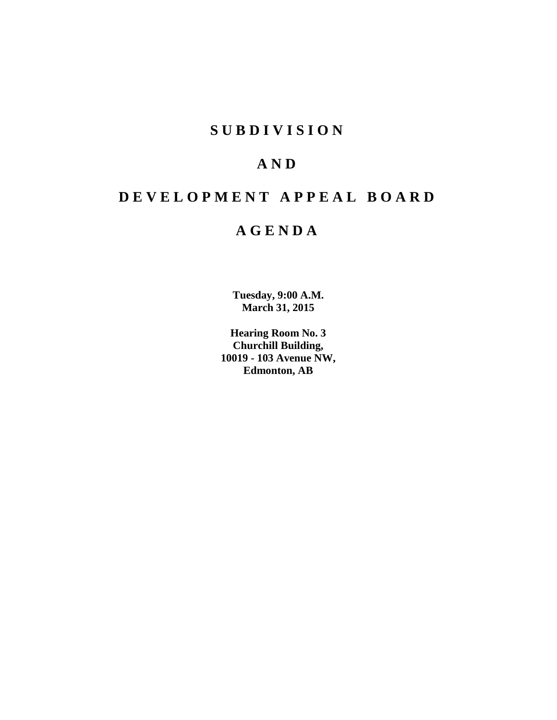# **SUBDIVISION**

# **AND**

# **DEVELOPMENT APPEAL BOARD**

# **AGENDA**

**Tuesday, 9:00 A.M. March 31, 2015**

**Hearing Room No. 3 Churchill Building, 10019 - 103 Avenue NW, Edmonton, AB**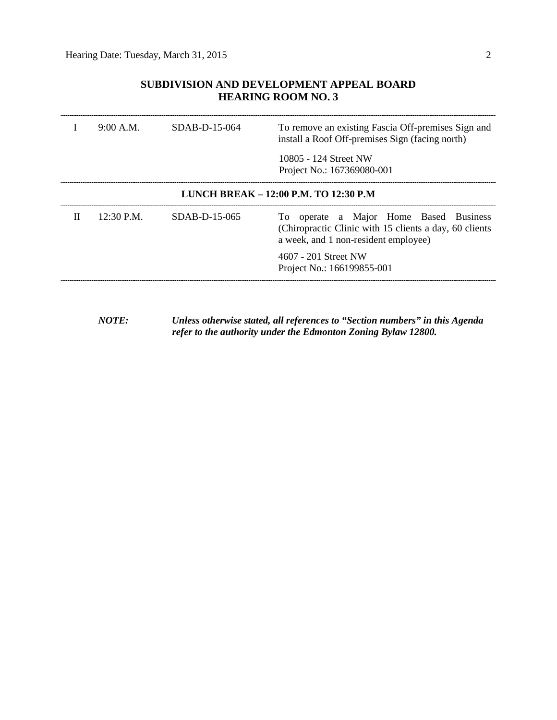# **SUBDIVISION AND DEVELOPMENT APPEAL BOARD HEARING ROOM NO. 3**

|                                       | 9:00 A.M.  | $SDAB-D-15-064$ | To remove an existing Fascia Off-premises Sign and<br>install a Roof Off-premises Sign (facing north)                                    |  |  |
|---------------------------------------|------------|-----------------|------------------------------------------------------------------------------------------------------------------------------------------|--|--|
|                                       |            |                 | 10805 - 124 Street NW<br>Project No.: 167369080-001                                                                                      |  |  |
| LUNCH BREAK - 12:00 P.M. TO 12:30 P.M |            |                 |                                                                                                                                          |  |  |
| П                                     | 12:30 P.M. | SDAB-D-15-065   | To operate a Major Home Based Business<br>(Chiropractic Clinic with 15 clients a day, 60 clients<br>a week, and 1 non-resident employee) |  |  |
|                                       |            |                 | 4607 - 201 Street NW<br>Project No.: 166199855-001                                                                                       |  |  |

*NOTE: Unless otherwise stated, all references to "Section numbers" in this Agenda refer to the authority under the Edmonton Zoning Bylaw 12800.*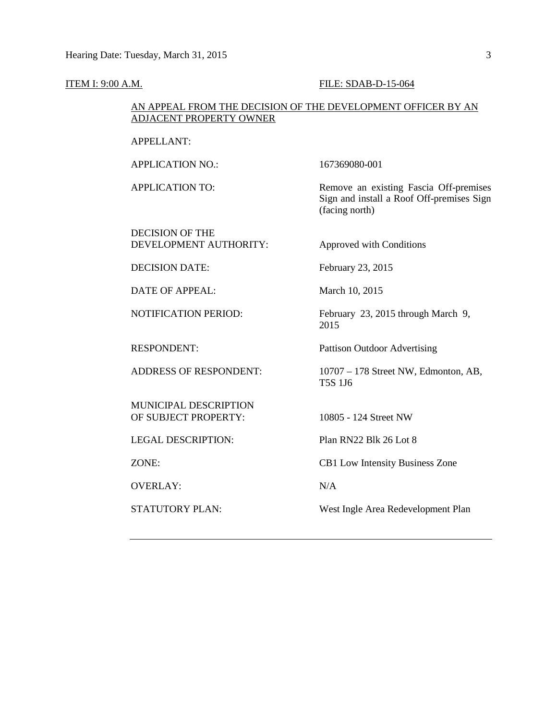#### **ITEM I: 9:00 A.M. FILE: SDAB-D-15-064**

## AN APPEAL FROM THE DECISION OF THE DEVELOPMENT OFFICER BY AN ADJACENT PROPERTY OWNER

APPELLANT:

APPLICATION NO.: 167369080-001

APPLICATION TO: Remove an existing Fascia Off-premises

DECISION OF THE DEVELOPMENT AUTHORITY: Approved with Conditions

DECISION DATE: February 23, 2015

DATE OF APPEAL: March 10, 2015

MUNICIPAL DESCRIPTION OF SUBJECT PROPERTY: 10805 - 124 Street NW

LEGAL DESCRIPTION: Plan RN22 Blk 26 Lot 8

OVERLAY: N/A

(facing north)

NOTIFICATION PERIOD: February 23, 2015 through March 9, 2015

Sign and install a Roof Off-premises Sign

RESPONDENT: Pattison Outdoor Advertising

ADDRESS OF RESPONDENT: 10707 – 178 Street NW, Edmonton, AB, T5S 1J6

ZONE: CB1 Low Intensity Business Zone

STATUTORY PLAN: West Ingle Area Redevelopment Plan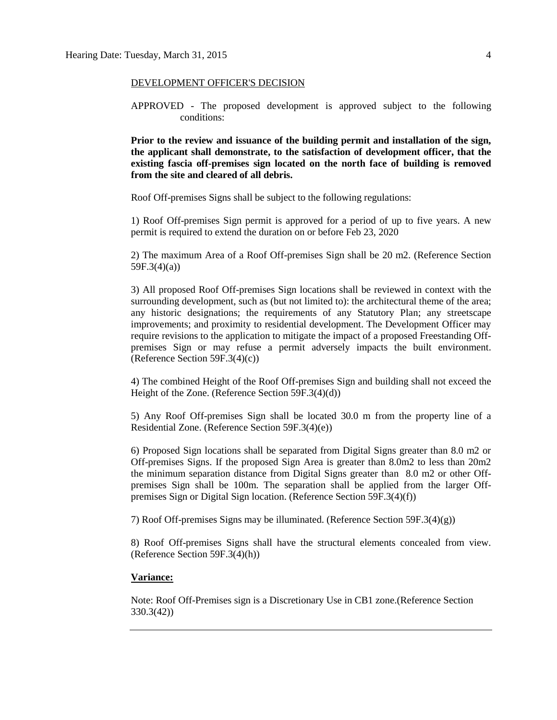## DEVELOPMENT OFFICER'S DECISION

APPROVED - The proposed development is approved subject to the following conditions:

**Prior to the review and issuance of the building permit and installation of the sign, the applicant shall demonstrate, to the satisfaction of development officer, that the existing fascia off-premises sign located on the north face of building is removed from the site and cleared of all debris.**

Roof Off-premises Signs shall be subject to the following regulations:

1) Roof Off-premises Sign permit is approved for a period of up to five years. A new permit is required to extend the duration on or before Feb 23, 2020

2) The maximum Area of a Roof Off-premises Sign shall be 20 m2. (Reference Section 59F.3(4)(a))

3) All proposed Roof Off-premises Sign locations shall be reviewed in context with the surrounding development, such as (but not limited to): the architectural theme of the area; any historic designations; the requirements of any Statutory Plan; any streetscape improvements; and proximity to residential development. The Development Officer may require revisions to the application to mitigate the impact of a proposed Freestanding Offpremises Sign or may refuse a permit adversely impacts the built environment. (Reference Section 59F.3(4)(c))

4) The combined Height of the Roof Off-premises Sign and building shall not exceed the Height of the Zone. (Reference Section 59F.3(4)(d))

5) Any Roof Off-premises Sign shall be located 30.0 m from the property line of a Residential Zone. (Reference Section 59F.3(4)(e))

6) Proposed Sign locations shall be separated from Digital Signs greater than 8.0 m2 or Off-premises Signs. If the proposed Sign Area is greater than 8.0m2 to less than 20m2 the minimum separation distance from Digital Signs greater than 8.0 m2 or other Offpremises Sign shall be 100m. The separation shall be applied from the larger Offpremises Sign or Digital Sign location. (Reference Section 59F.3(4)(f))

7) Roof Off-premises Signs may be illuminated. (Reference Section 59F.3(4)(g))

8) Roof Off-premises Signs shall have the structural elements concealed from view. (Reference Section 59F.3(4)(h))

## **Variance:**

Note: Roof Off-Premises sign is a Discretionary Use in CB1 zone.(Reference Section 330.3(42))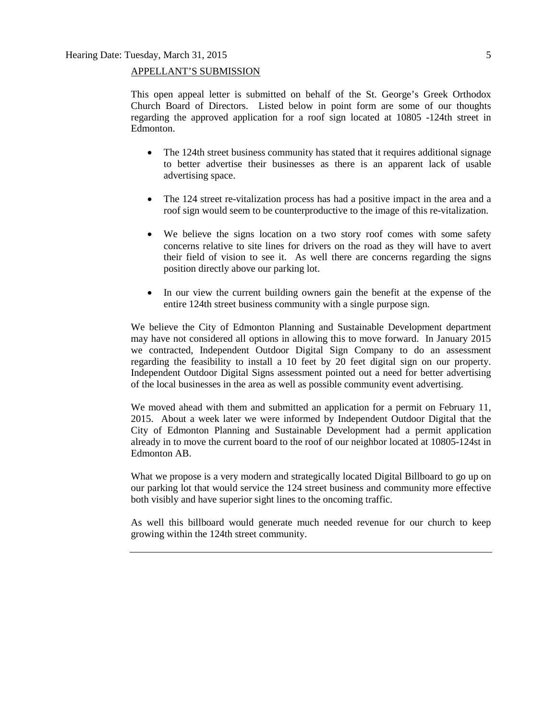# APPELLANT'S SUBMISSION

This open appeal letter is submitted on behalf of the St. George's Greek Orthodox Church Board of Directors. Listed below in point form are some of our thoughts regarding the approved application for a roof sign located at 10805 -124th street in Edmonton.

- The 124th street business community has stated that it requires additional signage to better advertise their businesses as there is an apparent lack of usable advertising space.
- The 124 street re-vitalization process has had a positive impact in the area and a roof sign would seem to be counterproductive to the image of this re-vitalization.
- We believe the signs location on a two story roof comes with some safety concerns relative to site lines for drivers on the road as they will have to avert their field of vision to see it. As well there are concerns regarding the signs position directly above our parking lot.
- In our view the current building owners gain the benefit at the expense of the entire 124th street business community with a single purpose sign.

We believe the City of Edmonton Planning and Sustainable Development department may have not considered all options in allowing this to move forward. In January 2015 we contracted, Independent Outdoor Digital Sign Company to do an assessment regarding the feasibility to install a 10 feet by 20 feet digital sign on our property. Independent Outdoor Digital Signs assessment pointed out a need for better advertising of the local businesses in the area as well as possible community event advertising.

We moved ahead with them and submitted an application for a permit on February 11, 2015. About a week later we were informed by Independent Outdoor Digital that the City of Edmonton Planning and Sustainable Development had a permit application already in to move the current board to the roof of our neighbor located at 10805-124st in Edmonton AB.

What we propose is a very modern and strategically located Digital Billboard to go up on our parking lot that would service the 124 street business and community more effective both visibly and have superior sight lines to the oncoming traffic.

As well this billboard would generate much needed revenue for our church to keep growing within the 124th street community.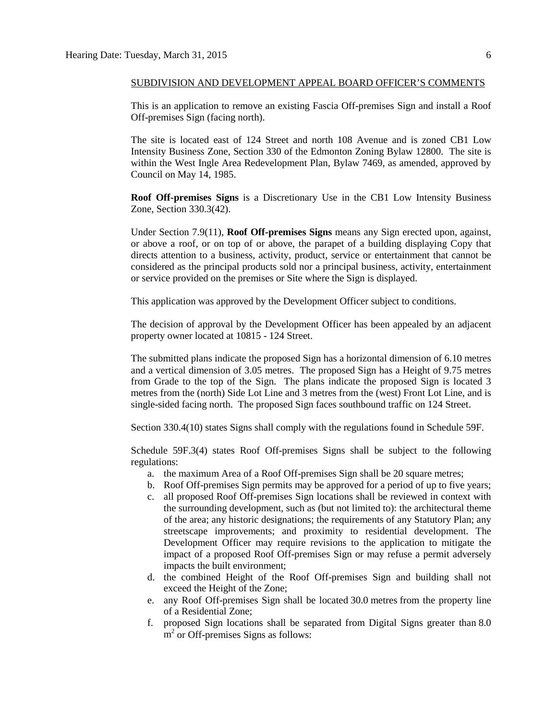## SUBDIVISION AND DEVELOPMENT APPEAL BOARD OFFICER'S COMMENTS

This is an application to remove an existing Fascia Off-premises Sign and install a Roof Off-premises Sign (facing north).

The site is located east of 124 Street and north 108 Avenue and is zoned CB1 Low Intensity Business Zone, Section 330 of the Edmonton Zoning Bylaw 12800. The site is within the West Ingle Area Redevelopment Plan, Bylaw 7469, as amended, approved by Council on May 14, 1985.

**Roof Off-premises Signs** is a Discretionary Use in the CB1 Low Intensity Business Zone, Section 330.3(42).

Under Section 7.9(11), **Roof Off-premises Signs** means any Sign erected upon, against, or above a roof, or on top of or above, the parapet of a building displaying Copy that directs attention to a business, activity, product, service or entertainment that cannot be considered as the principal products sold nor a principal business, activity, entertainment or service provided on the premises or Site where the Sign is displayed.

This application was approved by the Development Officer subject to conditions.

The decision of approval by the Development Officer has been appealed by an adjacent property owner located at 10815 - 124 Street.

The submitted plans indicate the proposed Sign has a horizontal dimension of 6.10 metres and a vertical dimension of 3.05 metres. The proposed Sign has a Height of 9.75 metres from Grade to the top of the Sign. The plans indicate the proposed Sign is located 3 metres from the (north) Side Lot Line and 3 metres from the (west) Front Lot Line, and is single-sided facing north. The proposed Sign faces southbound traffic on 124 Street.

Section 330.4(10) states Signs shall comply with the regulations found in [Schedule](http://webdocs.edmonton.ca/InfraPlan/zoningbylaw/ZoningBylaw/Schedule/Schedule_59F.htm) 59F.

Schedule 59F.3(4) states Roof Off-premises Signs shall be subject to the following regulations:

- a. the maximum Area of a Roof Off-premises Sign shall be 20 square metres;
- b. Roof Off-premises Sign permits may be approved for a period of up to five years;
- c. all proposed Roof Off-premises Sign locations shall be reviewed in context with the surrounding development, such as (but not limited to): the architectural theme of the area; any historic designations; the requirements of any Statutory Plan; any streetscape improvements; and proximity to residential development. The Development Officer may require revisions to the application to mitigate the impact of a proposed Roof Off-premises Sign or may refuse a permit adversely impacts the built environment;
- d. the combined Height of the Roof Off-premises Sign and building shall not exceed the Height of the Zone;
- e. any Roof Off-premises Sign shall be located [30.0](javascript:void(0);) metres from the property line of a Residential Zone;
- f. proposed Sign locations shall be separated from Digital Signs greater than [8.0](javascript:void(0);)   $m<sup>2</sup>$  or Off-premises Signs as follows: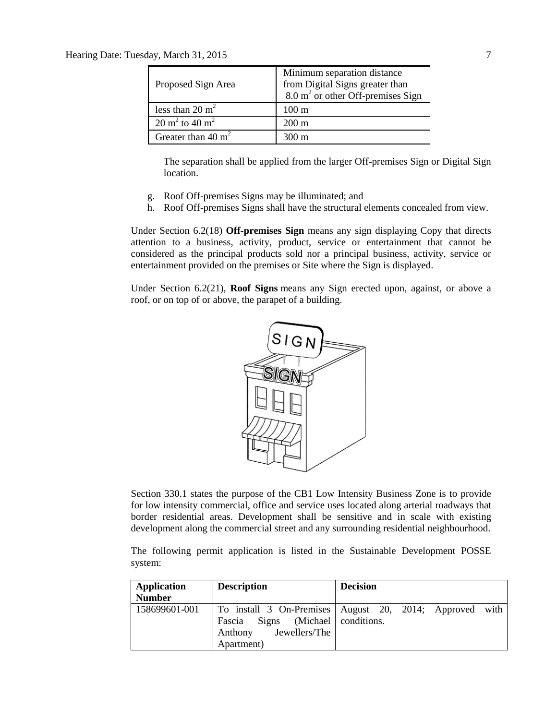| Proposed Sign Area                   | Minimum separation distance<br>from Digital Signs greater than<br>8.0 m <sup>2</sup> or other Off-premises Sign |
|--------------------------------------|-----------------------------------------------------------------------------------------------------------------|
| less than $20 \text{ m}^2$           | $100 \text{ m}$                                                                                                 |
| $20 \text{ m}^2$ to $40 \text{ m}^2$ | $200 \text{ m}$                                                                                                 |
| Greater than $40 \text{ m}^2$        | 300 m                                                                                                           |

The separation shall be applied from the larger Off-premises Sign or Digital Sign location.

- g. Roof Off-premises Signs may be illuminated; and
- h. Roof Off-premises Signs shall have the structural elements concealed from view.

Under Section 6.2(18) **Off-premises Sign** means any sign displaying Copy that directs attention to a business, activity, product, service or entertainment that cannot be considered as the principal products sold nor a principal business, activity, service or entertainment provided on the premises or Site where the Sign is displayed.

Under Section 6.2(21), **Roof Signs** means any Sign erected upon, against, or above a roof, or on top of or above, the parapet of a building.



Section 330.1 states the purpose of the CB1 Low Intensity Business Zone is to provide for low intensity commercial, office and service uses located along arterial roadways that border residential areas. Development shall be sensitive and in scale with existing development along the commercial street and any surrounding residential neighbourhood.

The following permit application is listed in the Sustainable Development POSSE system:

| Application   | <b>Description</b>                                                          | <b>Decision</b>                                         |
|---------------|-----------------------------------------------------------------------------|---------------------------------------------------------|
| <b>Number</b> |                                                                             |                                                         |
| 158699601-001 | Fascia Signs (Michael conditions.<br>Jewellers/The<br>Anthony<br>Apartment) | To install 3 On-Premises August 20, 2014; Approved with |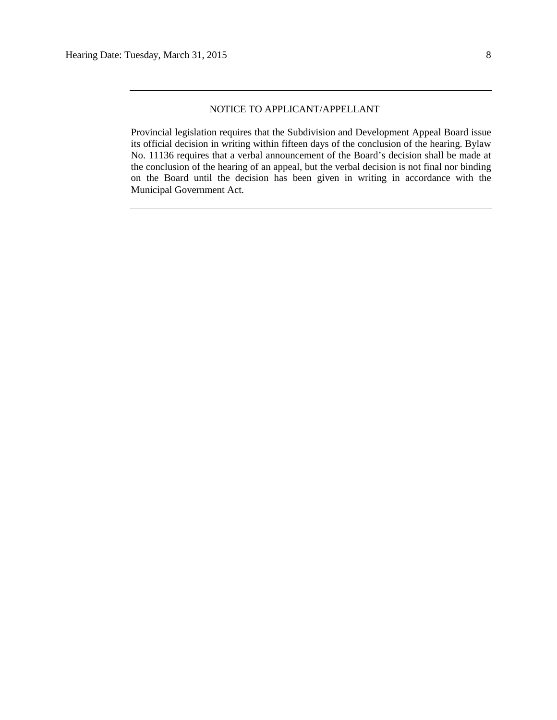## NOTICE TO APPLICANT/APPELLANT

Provincial legislation requires that the Subdivision and Development Appeal Board issue its official decision in writing within fifteen days of the conclusion of the hearing. Bylaw No. 11136 requires that a verbal announcement of the Board's decision shall be made at the conclusion of the hearing of an appeal, but the verbal decision is not final nor binding on the Board until the decision has been given in writing in accordance with the Municipal Government Act.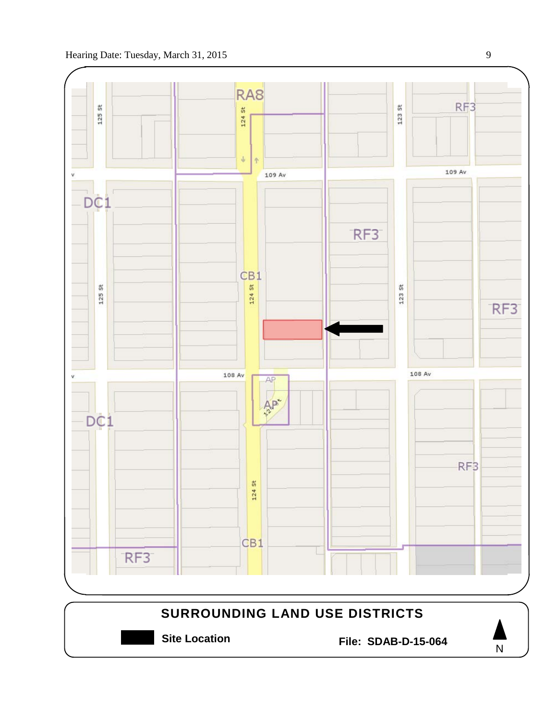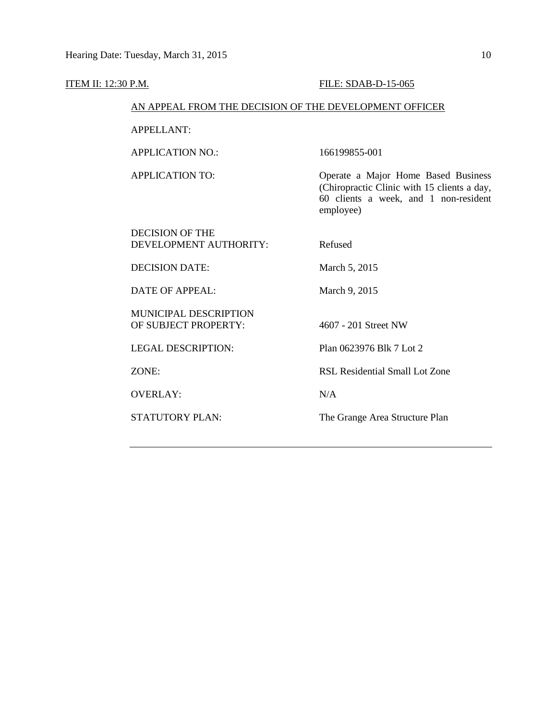#### **ITEM II: 12:30 P.M. FILE: SDAB-D-15-065**

## AN APPEAL FROM THE DECISION OF THE DEVELOPMENT OFFICER

APPELLANT:

APPLICATION NO.: 166199855-001

DECISION OF THE

APPLICATION TO: Operate a Major Home Based Business (Chiropractic Clinic with 15 clients a day, 60 clients a week, and 1 non-resident employee)

DEVELOPMENT AUTHORITY: Refused

DECISION DATE: March 5, 2015

DATE OF APPEAL: March 9, 2015

MUNICIPAL DESCRIPTION OF SUBJECT PROPERTY: 4607 - 201 Street NW

LEGAL DESCRIPTION: Plan 0623976 Blk 7 Lot 2

OVERLAY: N/A

ZONE: RSL Residential Small Lot Zone

STATUTORY PLAN: The Grange Area Structure Plan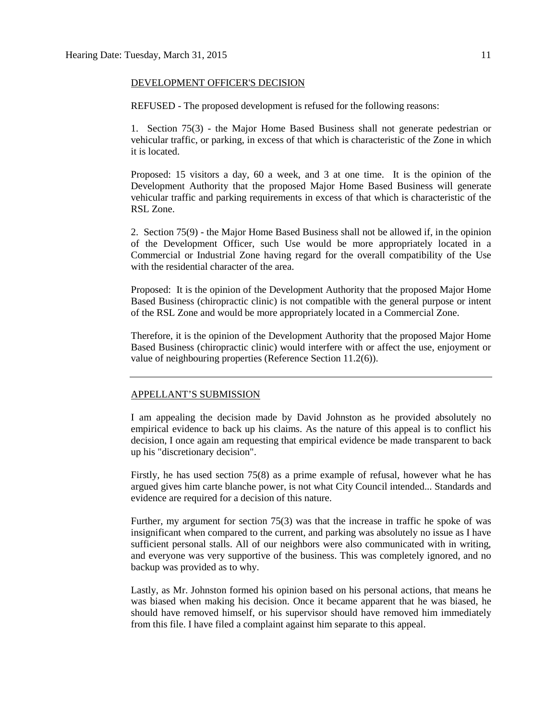## DEVELOPMENT OFFICER'S DECISION

REFUSED - The proposed development is refused for the following reasons:

1. Section 75(3) - the Major Home Based Business shall not generate pedestrian or vehicular traffic, or parking, in excess of that which is characteristic of the Zone in which it is located.

Proposed: 15 visitors a day, 60 a week, and 3 at one time. It is the opinion of the Development Authority that the proposed Major Home Based Business will generate vehicular traffic and parking requirements in excess of that which is characteristic of the RSL Zone.

2. Section 75(9) - the Major Home Based Business shall not be allowed if, in the opinion of the Development Officer, such Use would be more appropriately located in a Commercial or Industrial Zone having regard for the overall compatibility of the Use with the residential character of the area.

Proposed: It is the opinion of the Development Authority that the proposed Major Home Based Business (chiropractic clinic) is not compatible with the general purpose or intent of the RSL Zone and would be more appropriately located in a Commercial Zone.

Therefore, it is the opinion of the Development Authority that the proposed Major Home Based Business (chiropractic clinic) would interfere with or affect the use, enjoyment or value of neighbouring properties (Reference Section 11.2(6)).

#### APPELLANT'S SUBMISSION

I am appealing the decision made by David Johnston as he provided absolutely no empirical evidence to back up his claims. As the nature of this appeal is to conflict his decision, I once again am requesting that empirical evidence be made transparent to back up his "discretionary decision".

Firstly, he has used section 75(8) as a prime example of refusal, however what he has argued gives him carte blanche power, is not what City Council intended... Standards and evidence are required for a decision of this nature.

Further, my argument for section 75(3) was that the increase in traffic he spoke of was insignificant when compared to the current, and parking was absolutely no issue as I have sufficient personal stalls. All of our neighbors were also communicated with in writing, and everyone was very supportive of the business. This was completely ignored, and no backup was provided as to why.

Lastly, as Mr. Johnston formed his opinion based on his personal actions, that means he was biased when making his decision. Once it became apparent that he was biased, he should have removed himself, or his supervisor should have removed him immediately from this file. I have filed a complaint against him separate to this appeal.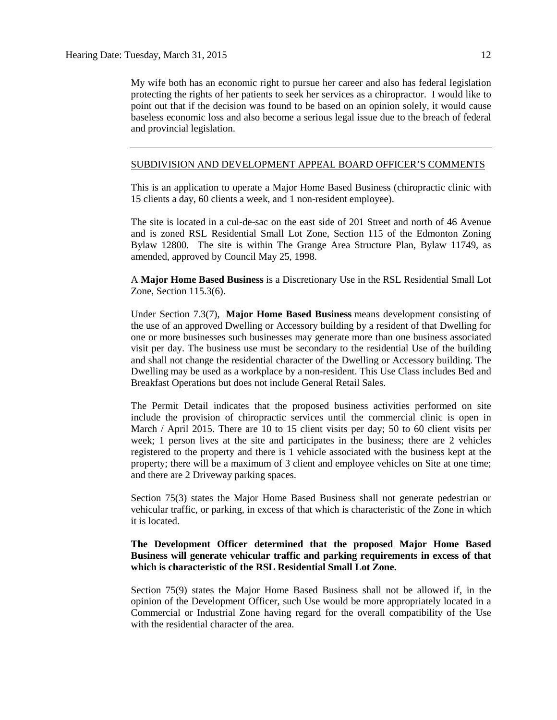My wife both has an economic right to pursue her career and also has federal legislation protecting the rights of her patients to seek her services as a chiropractor. I would like to point out that if the decision was found to be based on an opinion solely, it would cause baseless economic loss and also become a serious legal issue due to the breach of federal and provincial legislation.

## SUBDIVISION AND DEVELOPMENT APPEAL BOARD OFFICER'S COMMENTS

This is an application to operate a Major Home Based Business (chiropractic clinic with 15 clients a day, 60 clients a week, and 1 non-resident employee).

The site is located in a cul-de-sac on the east side of 201 Street and north of 46 Avenue and is zoned RSL Residential Small Lot Zone, Section 115 of the Edmonton Zoning Bylaw 12800. The site is within The Grange Area Structure Plan, Bylaw 11749, as amended, approved by Council May 25, 1998.

A **Major Home Based Business** is a Discretionary Use in the RSL Residential Small Lot Zone, Section 115.3(6).

Under Section 7.3(7), **Major Home Based Business** means development consisting of the use of an approved Dwelling or Accessory building by a resident of that Dwelling for one or more businesses such businesses may generate more than one business associated visit per day. The business use must be secondary to the residential Use of the building and shall not change the residential character of the Dwelling or Accessory building. The Dwelling may be used as a workplace by a non-resident. This Use Class includes Bed and Breakfast Operations but does not include General Retail Sales.

The Permit Detail indicates that the proposed business activities performed on site include the provision of chiropractic services until the commercial clinic is open in March / April 2015. There are 10 to 15 client visits per day; 50 to 60 client visits per week; 1 person lives at the site and participates in the business; there are 2 vehicles registered to the property and there is 1 vehicle associated with the business kept at the property; there will be a maximum of 3 client and employee vehicles on Site at one time; and there are 2 Driveway parking spaces.

Section 75(3) states the Major Home Based Business shall not generate pedestrian or vehicular traffic, or parking, in excess of that which is characteristic of the Zone in which it is located.

# **The Development Officer determined that the proposed Major Home Based Business will generate vehicular traffic and parking requirements in excess of that which is characteristic of the RSL Residential Small Lot Zone.**

Section 75(9) states the Major Home Based Business shall not be allowed if, in the opinion of the Development Officer, such Use would be more appropriately located in a Commercial or Industrial Zone having regard for the overall compatibility of the Use with the residential character of the area.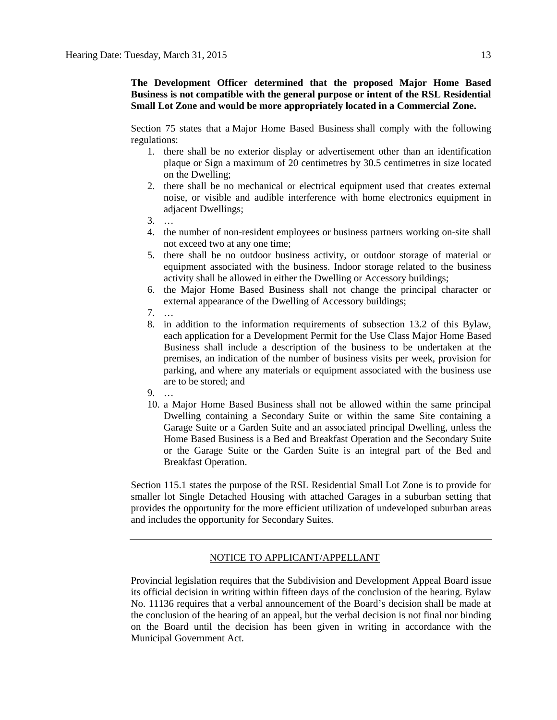**The Development Officer determined that the proposed Major Home Based Business is not compatible with the general purpose or intent of the RSL Residential Small Lot Zone and would be more appropriately located in a Commercial Zone.**

Section 75 states that a [Major Home Based Business](javascript:void(0);) shall comply with the following regulations:

- 1. there shall be no exterior display or advertisement other than an identification plaque or Sign a maximum of 20 centimetres by 30.5 centimetres in size located on the Dwelling;
- 2. there shall be no mechanical or electrical equipment used that creates external noise, or visible and audible interference with home electronics equipment in adjacent Dwellings;
- 3. …
- 4. the number of non-resident employees or business partners working on-site shall not exceed two at any one time;
- 5. there shall be no outdoor business activity, or outdoor storage of material or equipment associated with the business. Indoor storage related to the business activity shall be allowed in either the Dwelling or Accessory buildings;
- 6. the Major Home Based Business shall not change the principal character or external appearance of the Dwelling of Accessory buildings;
- 7. …
- 8. in addition to the information requirements of subsection 13.2 of this Bylaw, each application for a Development Permit for the Use Class Major Home Based Business shall include a description of the business to be undertaken at the premises, an indication of the number of business visits per week, provision for parking, and where any materials or equipment associated with the business use are to be stored; and
- 9. …
- 10. a Major Home Based Business shall not be allowed within the same principal Dwelling containing a Secondary Suite or within the same Site containing a Garage Suite or a Garden Suite and an associated principal Dwelling, unless the Home Based Business is a Bed and Breakfast Operation and the Secondary Suite or the Garage Suite or the Garden Suite is an integral part of the Bed and Breakfast Operation.

Section 115.1 states the purpose of the RSL Residential Small Lot Zone is to provide for smaller lot Single Detached Housing with attached Garages in a suburban setting that provides the opportunity for the more efficient utilization of undeveloped suburban areas and includes the opportunity for Secondary Suites.

## NOTICE TO APPLICANT/APPELLANT

Provincial legislation requires that the Subdivision and Development Appeal Board issue its official decision in writing within fifteen days of the conclusion of the hearing. Bylaw No. 11136 requires that a verbal announcement of the Board's decision shall be made at the conclusion of the hearing of an appeal, but the verbal decision is not final nor binding on the Board until the decision has been given in writing in accordance with the Municipal Government Act.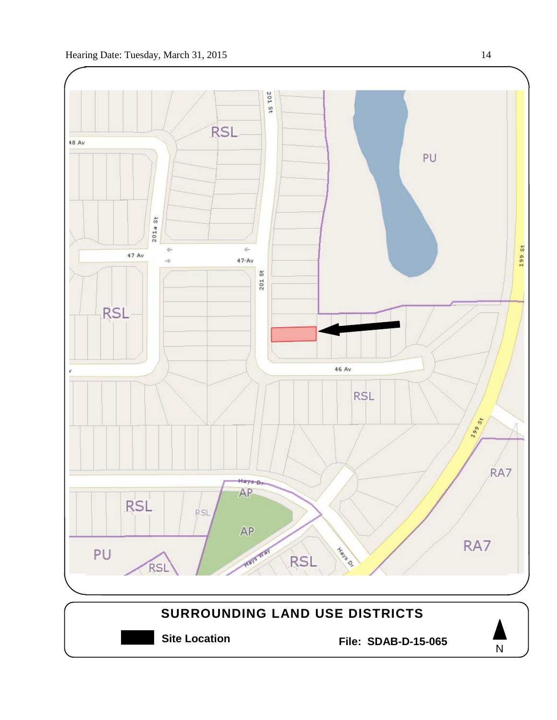